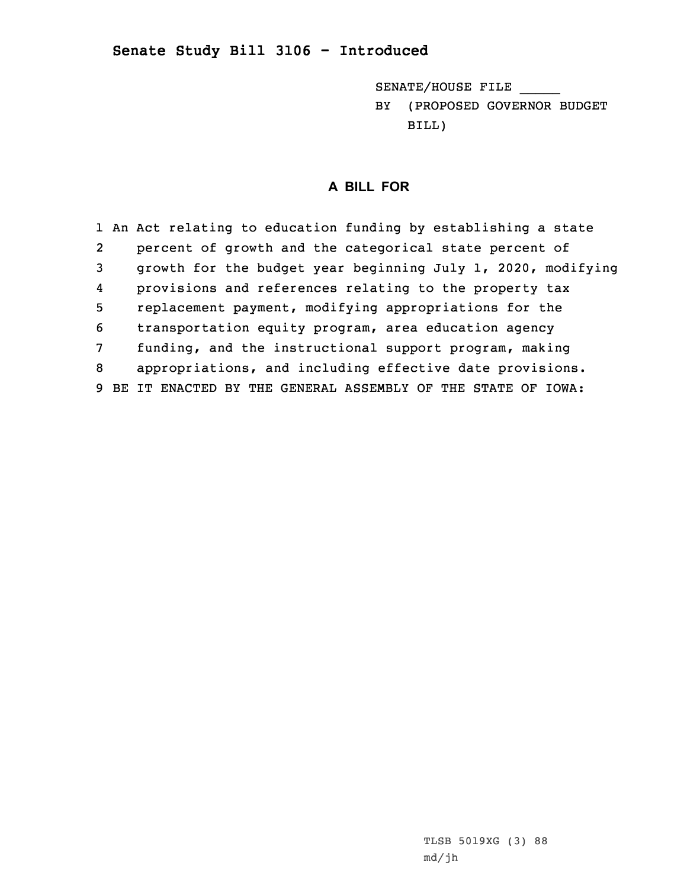## **Senate Study Bill 3106 - Introduced**

SENATE/HOUSE FILE \_\_\_\_\_ BY (PROPOSED GOVERNOR BUDGET BILL)

## **A BILL FOR**

 An Act relating to education funding by establishing <sup>a</sup> state 2 percent of growth and the categorical state percent of growth for the budget year beginning July 1, 2020, modifying 4 provisions and references relating to the property tax replacement payment, modifying appropriations for the transportation equity program, area education agency funding, and the instructional support program, making appropriations, and including effective date provisions. BE IT ENACTED BY THE GENERAL ASSEMBLY OF THE STATE OF IOWA: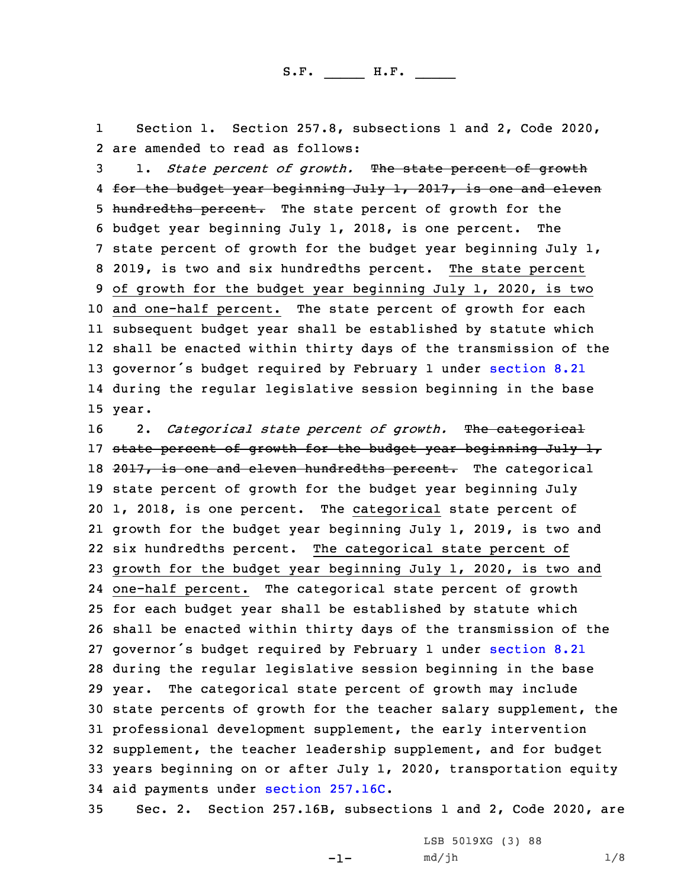1 Section 1. Section 257.8, subsections 1 and 2, Code 2020, 2 are amended to read as follows:

 1. *State percent of growth.* The state percent of growth 4 <del>for the budget year beginning July 1, 2017, is one and eleven</del> 5 hundredths percent. The state percent of growth for the budget year beginning July 1, 2018, is one percent. The state percent of growth for the budget year beginning July 1, 2019, is two and six hundredths percent. The state percent of growth for the budget year beginning July 1, 2020, is two and one-half percent. The state percent of growth for each subsequent budget year shall be established by statute which shall be enacted within thirty days of the transmission of the 13 governor's budget required by February 1 under [section](https://www.legis.iowa.gov/docs/code/2020/8.21.pdf) 8.21 during the regular legislative session beginning in the base 15 year.

 2. *Categorical state percent of growth.* The categorical 17 state percent of growth for the budget year beginning July 1, 18 2017, is one and eleven hundredths percent. The categorical state percent of growth for the budget year beginning July 1, 2018, is one percent. The categorical state percent of growth for the budget year beginning July 1, 2019, is two and six hundredths percent. The categorical state percent of growth for the budget year beginning July 1, 2020, is two and one-half percent. The categorical state percent of growth for each budget year shall be established by statute which shall be enacted within thirty days of the transmission of the 27 governor's budget required by February 1 under [section](https://www.legis.iowa.gov/docs/code/2020/8.21.pdf) 8.21 during the regular legislative session beginning in the base year. The categorical state percent of growth may include state percents of growth for the teacher salary supplement, the professional development supplement, the early intervention supplement, the teacher leadership supplement, and for budget years beginning on or after July 1, 2020, transportation equity aid payments under section [257.16C](https://www.legis.iowa.gov/docs/code/2020/257.16C.pdf).

35 Sec. 2. Section 257.16B, subsections 1 and 2, Code 2020, are

 $-1-$ 

LSB 5019XG (3) 88  $md/jh$   $1/8$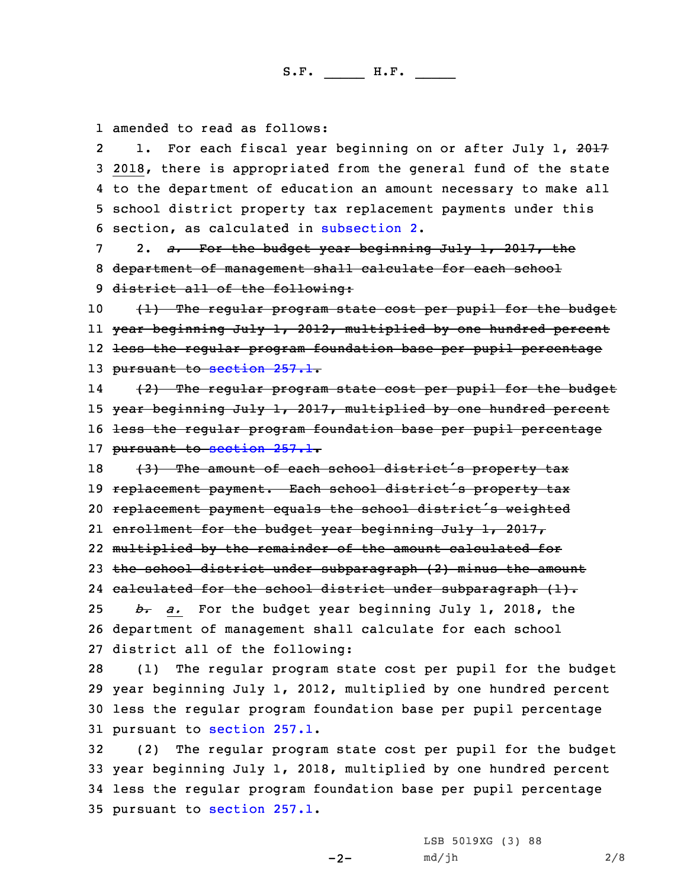1 amended to read as follows:

21. For each fiscal year beginning on or after July 1, 2017 2018, there is appropriated from the general fund of the state to the department of education an amount necessary to make all school district property tax replacement payments under this section, as calculated in [subsection](https://www.legis.iowa.gov/docs/code/2020/257.16B.pdf) 2.

7 2. *a.* For the budget year beginning July 1, 2017, the 8 department of management shall calculate for each school 9 district all of the following:

10 (1) The regular program state cost per pupil for the budget 11 year beginning July 1, 2012, multiplied by one hundred percent 12 less the regular program foundation base per pupil percentage 13 pursuant to [section](https://www.legis.iowa.gov/docs/code/2020/257.1.pdf) 257.1.

14 (2) The regular program state cost per pupil for the budget 15 year beginning July 1, 2017, multiplied by one hundred percent 16 <del>less the regular program foundation base per pupil percentage</del> 17 pursuant to [section](https://www.legis.iowa.gov/docs/code/2020/257.1.pdf) 257.1.

18 (3) The amount of each school district's property tax 19 replacement payment. Each school district's property tax replacement payment equals the school district's weighted enrollment for the budget year beginning July 1, 2017, multiplied by the remainder of the amount calculated for the school district under subparagraph (2) minus the amount 24 calculated for the school district under subparagraph (1). *b. a.* For the budget year beginning July 1, 2018, the department of management shall calculate for each school district all of the following:

 (1) The regular program state cost per pupil for the budget year beginning July 1, 2012, multiplied by one hundred percent less the regular program foundation base per pupil percentage pursuant to [section](https://www.legis.iowa.gov/docs/code/2020/257.1.pdf) 257.1.

 (2) The regular program state cost per pupil for the budget year beginning July 1, 2018, multiplied by one hundred percent less the regular program foundation base per pupil percentage pursuant to [section](https://www.legis.iowa.gov/docs/code/2020/257.1.pdf) 257.1.

 $-2-$ 

LSB 5019XG (3) 88 md/jh 2/8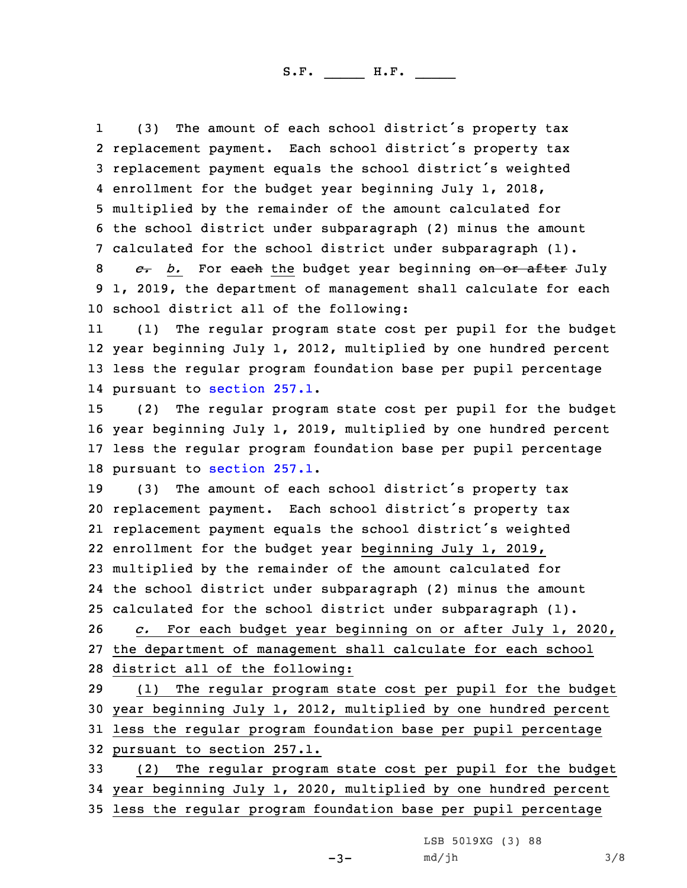1 (3) The amount of each school district's property tax replacement payment. Each school district's property tax replacement payment equals the school district's weighted enrollment for the budget year beginning July 1, 2018, multiplied by the remainder of the amount calculated for the school district under subparagraph (2) minus the amount calculated for the school district under subparagraph (1).

8 *c. b.* For each the budget year beginning on or after July 9 1, 2019, the department of management shall calculate for each 10 school district all of the following:

11 (1) The regular program state cost per pupil for the budget 12 year beginning July 1, 2012, multiplied by one hundred percent 13 less the regular program foundation base per pupil percentage 14 pursuant to [section](https://www.legis.iowa.gov/docs/code/2020/257.1.pdf) 257.1.

 (2) The regular program state cost per pupil for the budget year beginning July 1, 2019, multiplied by one hundred percent less the regular program foundation base per pupil percentage pursuant to [section](https://www.legis.iowa.gov/docs/code/2020/257.1.pdf) 257.1.

 (3) The amount of each school district's property tax replacement payment. Each school district's property tax replacement payment equals the school district's weighted enrollment for the budget year beginning July 1, 2019, multiplied by the remainder of the amount calculated for the school district under subparagraph (2) minus the amount calculated for the school district under subparagraph (1). *c.* For each budget year beginning on or after July 1, 2020, the department of management shall calculate for each school district all of the following:

 (1) The regular program state cost per pupil for the budget year beginning July 1, 2012, multiplied by one hundred percent less the regular program foundation base per pupil percentage pursuant to section 257.1.

33 (2) The regular program state cost per pupil for the budget 34 year beginning July 1, 2020, multiplied by one hundred percent 35 less the regular program foundation base per pupil percentage

 $-3-$ 

LSB 5019XG (3) 88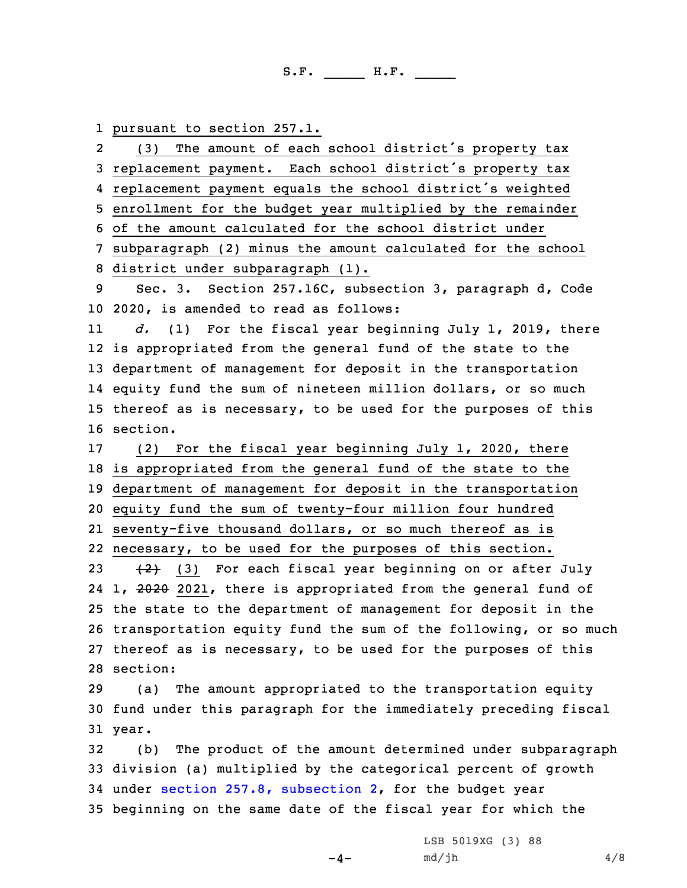1 pursuant to section 257.1.

2 (3) The amount of each school district's property tax replacement payment. Each school district's property tax replacement payment equals the school district's weighted enrollment for the budget year multiplied by the remainder of the amount calculated for the school district under subparagraph (2) minus the amount calculated for the school district under subparagraph (1). Sec. 3. Section 257.16C, subsection 3, paragraph d, Code 2020, is amended to read as follows: 11 *d.* (1) For the fiscal year beginning July 1, 2019, there is appropriated from the general fund of the state to the department of management for deposit in the transportation equity fund the sum of nineteen million dollars, or so much thereof as is necessary, to be used for the purposes of this 16 section. (2) For the fiscal year beginning July 1, 2020, there is appropriated from the general fund of the state to the department of management for deposit in the transportation equity fund the sum of twenty-four million four hundred seventy-five thousand dollars, or so much thereof as is necessary, to be used for the purposes of this section.  $(2)$  (3) For each fiscal year beginning on or after July 24 1, 2020 2021, there is appropriated from the general fund of the state to the department of management for deposit in the transportation equity fund the sum of the following, or so much thereof as is necessary, to be used for the purposes of this 28 section: (a) The amount appropriated to the transportation equity fund under this paragraph for the immediately preceding fiscal 31 year. (b) The product of the amount determined under subparagraph division (a) multiplied by the categorical percent of growth under section 257.8, [subsection](https://www.legis.iowa.gov/docs/code/2020/257.8.pdf) 2, for the budget year beginning on the same date of the fiscal year for which the

 $-4-$ 

LSB 5019XG (3) 88  $md/jh$  4/8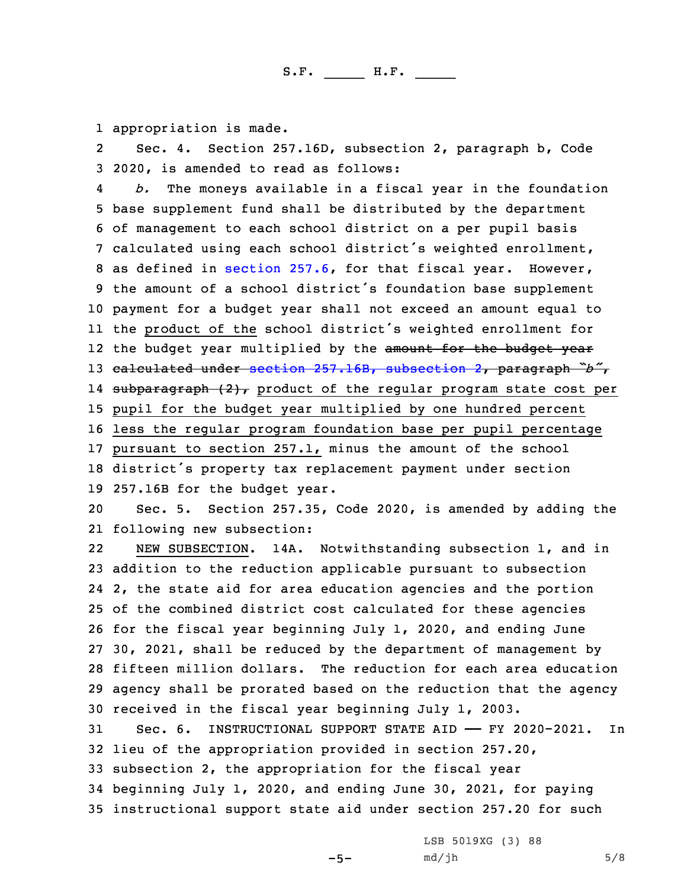1 appropriation is made.

2 Sec. 4. Section 257.16D, subsection 2, paragraph b, Code 3 2020, is amended to read as follows:

4 *b.* The moneys available in <sup>a</sup> fiscal year in the foundation base supplement fund shall be distributed by the department of management to each school district on <sup>a</sup> per pupil basis calculated using each school district's weighted enrollment, as defined in [section](https://www.legis.iowa.gov/docs/code/2020/257.6.pdf) 257.6, for that fiscal year. However, the amount of <sup>a</sup> school district's foundation base supplement payment for <sup>a</sup> budget year shall not exceed an amount equal to the product of the school district's weighted enrollment for 12 the budget year multiplied by the <del>amount for the budget year</del> calculated under section 257.16B, [subsection](https://www.legis.iowa.gov/docs/code/2020/257.16B.pdf) 2, paragraph *"b"*, 14 <del>subparagraph (2),</del> product of the regular program state cost per pupil for the budget year multiplied by one hundred percent less the regular program foundation base per pupil percentage pursuant to section 257.1, minus the amount of the school district's property tax replacement payment under section 257.16B for the budget year.

20 Sec. 5. Section 257.35, Code 2020, is amended by adding the 21 following new subsection:

22 NEW SUBSECTION. 14A. Notwithstanding subsection 1, and in addition to the reduction applicable pursuant to subsection 2, the state aid for area education agencies and the portion of the combined district cost calculated for these agencies for the fiscal year beginning July 1, 2020, and ending June 30, 2021, shall be reduced by the department of management by fifteen million dollars. The reduction for each area education agency shall be prorated based on the reduction that the agency received in the fiscal year beginning July 1, 2003.

 Sec. 6. INSTRUCTIONAL SUPPORT STATE AID —— FY 2020-2021. In lieu of the appropriation provided in section 257.20, subsection 2, the appropriation for the fiscal year beginning July 1, 2020, and ending June 30, 2021, for paying instructional support state aid under section 257.20 for such

 $-5-$ 

LSB 5019XG (3) 88  $md/jh$  5/8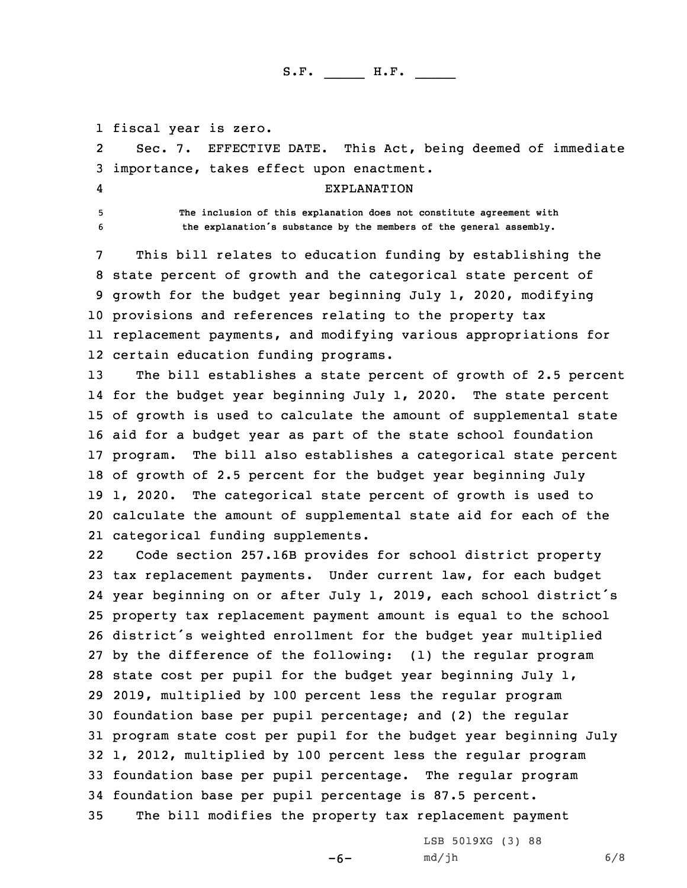1 fiscal year is zero.

2 Sec. 7. EFFECTIVE DATE. This Act, being deemed of immediate 3 importance, takes effect upon enactment.

4

5 **The inclusion of this explanation does not constitute agreement with** <sup>6</sup> **the explanation's substance by the members of the general assembly.**

EXPLANATION

 This bill relates to education funding by establishing the state percent of growth and the categorical state percent of growth for the budget year beginning July 1, 2020, modifying provisions and references relating to the property tax replacement payments, and modifying various appropriations for certain education funding programs.

 The bill establishes <sup>a</sup> state percent of growth of 2.5 percent for the budget year beginning July 1, 2020. The state percent of growth is used to calculate the amount of supplemental state aid for <sup>a</sup> budget year as part of the state school foundation program. The bill also establishes <sup>a</sup> categorical state percent of growth of 2.5 percent for the budget year beginning July 1, 2020. The categorical state percent of growth is used to calculate the amount of supplemental state aid for each of the categorical funding supplements.

22 Code section 257.16B provides for school district property tax replacement payments. Under current law, for each budget year beginning on or after July 1, 2019, each school district's property tax replacement payment amount is equal to the school district's weighted enrollment for the budget year multiplied by the difference of the following: (1) the regular program state cost per pupil for the budget year beginning July 1, 2019, multiplied by 100 percent less the regular program foundation base per pupil percentage; and (2) the regular program state cost per pupil for the budget year beginning July 1, 2012, multiplied by 100 percent less the regular program foundation base per pupil percentage. The regular program foundation base per pupil percentage is 87.5 percent. The bill modifies the property tax replacement payment

 $-6-$ 

LSB 5019XG (3) 88 md/jh 6/8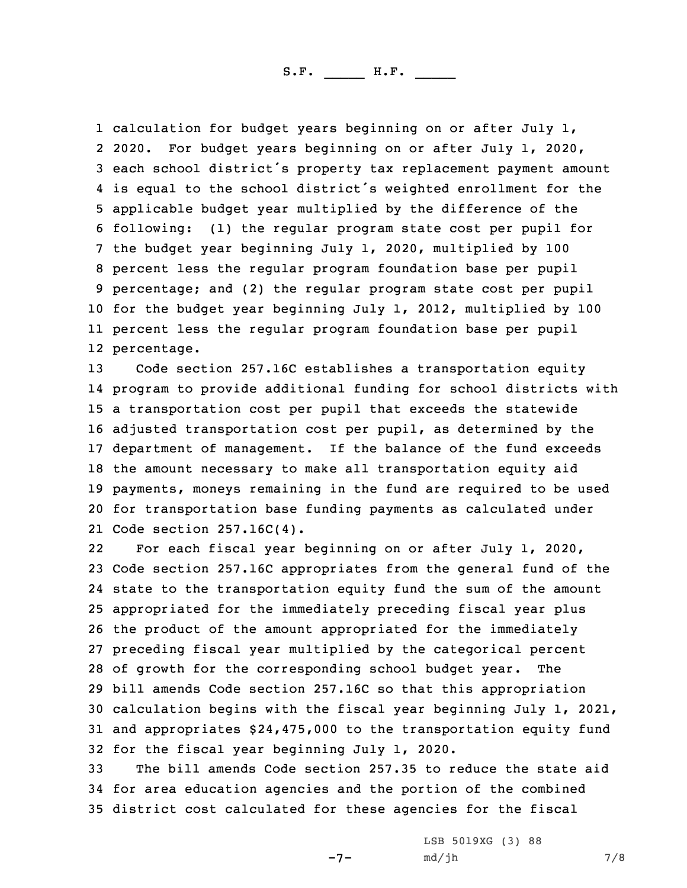calculation for budget years beginning on or after July 1, 2020. For budget years beginning on or after July 1, 2020, each school district's property tax replacement payment amount is equal to the school district's weighted enrollment for the applicable budget year multiplied by the difference of the following: (1) the regular program state cost per pupil for the budget year beginning July 1, 2020, multiplied by 100 percent less the regular program foundation base per pupil percentage; and (2) the regular program state cost per pupil for the budget year beginning July 1, 2012, multiplied by 100 percent less the regular program foundation base per pupil percentage.

 Code section 257.16C establishes <sup>a</sup> transportation equity program to provide additional funding for school districts with <sup>a</sup> transportation cost per pupil that exceeds the statewide adjusted transportation cost per pupil, as determined by the department of management. If the balance of the fund exceeds the amount necessary to make all transportation equity aid payments, moneys remaining in the fund are required to be used for transportation base funding payments as calculated under Code section 257.16C(4).

22 For each fiscal year beginning on or after July 1, 2020, Code section 257.16C appropriates from the general fund of the state to the transportation equity fund the sum of the amount appropriated for the immediately preceding fiscal year plus the product of the amount appropriated for the immediately preceding fiscal year multiplied by the categorical percent of growth for the corresponding school budget year. The bill amends Code section 257.16C so that this appropriation calculation begins with the fiscal year beginning July 1, 2021, and appropriates \$24,475,000 to the transportation equity fund for the fiscal year beginning July 1, 2020.

33 The bill amends Code section 257.35 to reduce the state aid 34 for area education agencies and the portion of the combined 35 district cost calculated for these agencies for the fiscal

-7-

LSB 5019XG (3) 88  $md/jh$  7/8